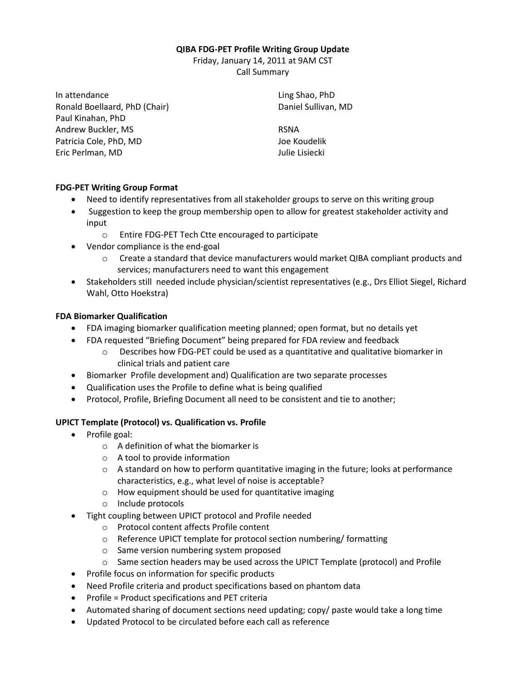### **QIBA FDG-PET Profile Writing Group Update**

Friday, January 14, 2011 at 9AM CST Call Summary

In attendance Ronald Boellaard, PhD (Chair) Paul Kinahan, PhD Andrew Buckler, MS Patricia Cole, PhD, MD Eric Perlman, MD

Ling Shao, PhD Daniel Sullivan, MD

RSNA Joe Koudelik Julie Lisiecki

# **FDG-PET Writing Group Format**

- Need to identify representatives from all stakeholder groups to serve on this writing group
- Suggestion to keep the group membership open to allow for greatest stakeholder activity and input
	- o Entire FDG-PET Tech Ctte encouraged to participate
- Vendor compliance is the end-goal
	- o Create a standard that device manufacturers would market QIBA compliant products and services; manufacturers need to want this engagement
- Stakeholders still needed include physician/scientist representatives (e.g., Drs Elliot Siegel, Richard Wahl, Otto Hoekstra)

# **FDA Biomarker Qualification**

- FDA imaging biomarker qualification meeting planned; open format, but no details yet
- FDA requested "Briefing Document" being prepared for FDA review and feedback
	- $\circ$  Describes how FDG-PET could be used as a quantitative and qualitative biomarker in clinical trials and patient care
- Biomarker Profile development and) Qualification are two separate processes
- Qualification uses the Profile to define what is being qualified
- Protocol, Profile, Briefing Document all need to be consistent and tie to another;

## **UPICT Template (Protocol) vs. Qualification vs. Profile**

- Profile goal:
	- $\circ$  A definition of what the biomarker is
	- o A tool to provide information
	- $\circ$  A standard on how to perform quantitative imaging in the future; looks at performance characteristics, e.g., what level of noise is acceptable?
	- o How equipment should be used for quantitative imaging
	- o Include protocols
- Tight coupling between UPICT protocol and Profile needed
	- o Protocol content affects Profile content
	- o Reference UPICT template for protocol section numbering/ formatting
	- o Same version numbering system proposed
	- $\circ$  Same section headers may be used across the UPICT Template (protocol) and Profile
- Profile focus on information for specific products
- Need Profile criteria and product specifications based on phantom data
- Profile = Product specifications and PET criteria
- Automated sharing of document sections need updating; copy/ paste would take a long time
- Updated Protocol to be circulated before each call as reference